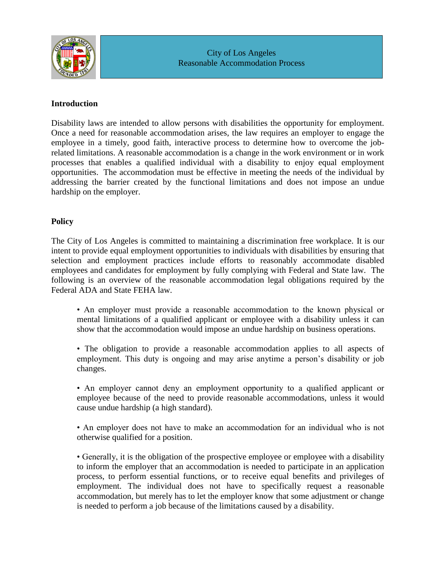

## **Introduction**

Disability laws are intended to allow persons with disabilities the opportunity for employment. Once a need for reasonable accommodation arises, the law requires an employer to engage the employee in a timely, good faith, interactive process to determine how to overcome the jobrelated limitations. A reasonable accommodation is a change in the work environment or in work processes that enables a qualified individual with a disability to enjoy equal employment opportunities. The accommodation must be effective in meeting the needs of the individual by addressing the barrier created by the functional limitations and does not impose an undue hardship on the employer.

## **Policy**

The City of Los Angeles is committed to maintaining a discrimination free workplace. It is our intent to provide equal employment opportunities to individuals with disabilities by ensuring that selection and employment practices include efforts to reasonably accommodate disabled employees and candidates for employment by fully complying with Federal and State law. The following is an overview of the reasonable accommodation legal obligations required by the Federal ADA and State FEHA law.

• An employer must provide a reasonable accommodation to the known physical or mental limitations of a qualified applicant or employee with a disability unless it can show that the accommodation would impose an undue hardship on business operations.

• The obligation to provide a reasonable accommodation applies to all aspects of employment. This duty is ongoing and may arise anytime a person's disability or job changes.

• An employer cannot deny an employment opportunity to a qualified applicant or employee because of the need to provide reasonable accommodations, unless it would cause undue hardship (a high standard).

• An employer does not have to make an accommodation for an individual who is not otherwise qualified for a position.

• Generally, it is the obligation of the prospective employee or employee with a disability to inform the employer that an accommodation is needed to participate in an application process, to perform essential functions, or to receive equal benefits and privileges of employment. The individual does not have to specifically request a reasonable accommodation, but merely has to let the employer know that some adjustment or change is needed to perform a job because of the limitations caused by a disability.